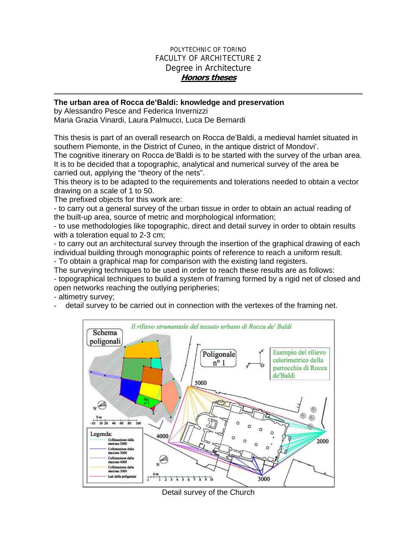## POLYTECHNIC OF TORINO FACULTY OF ARCHITECTURE 2 Degree in Architecture **Honors theses**

## **The urban area of Rocca de'Baldi: knowledge and preservation**

by Alessandro Pesce and Federica Invernizzi Maria Grazia Vinardi, Laura Palmucci, Luca De Bernardi

This thesis is part of an overall research on Rocca de'Baldi, a medieval hamlet situated in southern Piemonte, in the District of Cuneo, in the antique district of Mondovi'.

The cognitive itinerary on Rocca de'Baldi is to be started with the survey of the urban area. It is to be decided that a topographic, analytical and numerical survey of the area be carried out, applying the "theory of the nets".

This theory is to be adapted to the requirements and tolerations needed to obtain a vector drawing on a scale of 1 to 50.

The prefixed objects for this work are:

- to carry out a general survey of the urban tissue in order to obtain an actual reading of the built-up area, source of metric and morphological information;

- to use methodologies like topographic, direct and detail survey in order to obtain results with a toleration equal to 2-3 cm;

- to carry out an architectural survey through the insertion of the graphical drawing of each individual building through monographic points of reference to reach a uniform result.

- To obtain a graphical map for comparison with the existing land registers.

The surveying techniques to be used in order to reach these results are as follows:

- topographical techniques to build a system of framing formed by a rigid net of closed and open networks reaching the outlying peripheries;

- altimetry survey;

detail survey to be carried out in connection with the vertexes of the framing net.



Detail survey of the Church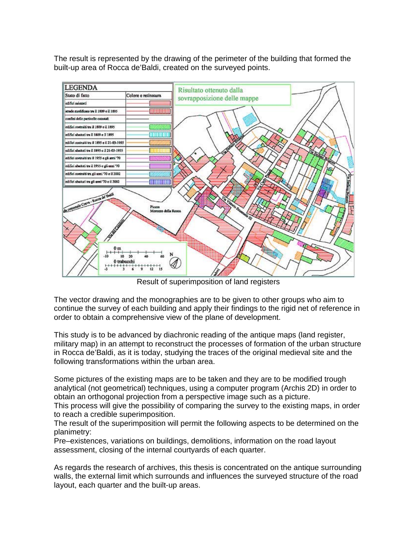The result is represented by the drawing of the perimeter of the building that formed the built-up area of Rocca de'Baldi, created on the surveyed points.



Result of superimposition of land registers

The vector drawing and the monographies are to be given to other groups who aim to continue the survey of each building and apply their findings to the rigid net of reference in order to obtain a comprehensive view of the plane of development.

This study is to be advanced by diachronic reading of the antique maps (land register, military map) in an attempt to reconstruct the processes of formation of the urban structure in Rocca de'Baldi, as it is today, studying the traces of the original medieval site and the following transformations within the urban area.

Some pictures of the existing maps are to be taken and they are to be modified trough analytical (not geometrical) techniques, using a computer program (Archis 2D) in order to obtain an orthogonal projection from a perspective image such as a picture.

This process will give the possibility of comparing the survey to the existing maps, in order to reach a credible superimposition.

The result of the superimposition will permit the following aspects to be determined on the planimetry:

Pre–existences, variations on buildings, demolitions, information on the road layout assessment, closing of the internal courtyards of each quarter.

As regards the research of archives, this thesis is concentrated on the antique surrounding walls, the external limit which surrounds and influences the surveyed structure of the road layout, each quarter and the built-up areas.